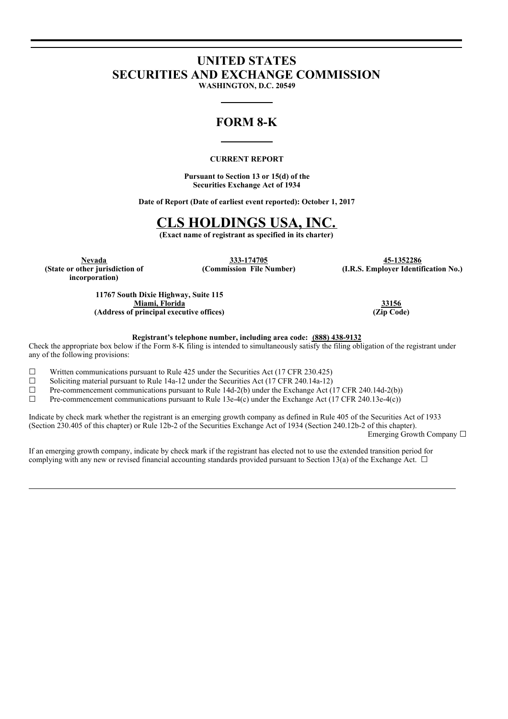# **UNITED STATES SECURITIES AND EXCHANGE COMMISSION**

**WASHINGTON, D.C. 20549**

### **FORM 8-K**

### **CURRENT REPORT**

**Pursuant to Section 13 or 15(d) of the Securities Exchange Act of 1934**

**Date of Report (Date of earliest event reported): October 1, 2017**

## **CLS HOLDINGS USA, INC.**

**(Exact name of registrant as specified in its charter)**

**(State or other jurisdiction of incorporation)**

**Nevada 333-174705 45-1352286**

**(Commission File Number) (I.R.S. Employer Identification No.)**

**11767 South Dixie Highway, Suite 115 Miami, Florida 33156 (Address of principal executive offices) (Zip Code)**

**Registrant's telephone number, including area code: (888) 438-9132**

Check the appropriate box below if the Form 8-K filing is intended to simultaneously satisfy the filing obligation of the registrant under any of the following provisions:

 $\Box$  Written communications pursuant to Rule 425 under the Securities Act (17 CFR 230.425)

□ Solicitying material pursuing to Rule 14a-12 under the Securities Act (17 CFR 240.14a-12) <math display="inline">\Box</math> Pre-component communications pursuit to Rule 14d-2(b) under the Exchange Act (17 CFR 240.14a-12)

Pre-commencement communications pursuant to Rule 14d-2(b) under the Exchange Act (17 CFR 240.14d-2(b))

 $\Box$  Pre-commencement communications pursuant to Rule 13e-4(c) under the Exchange Act (17 CFR 240.13e-4(c))

Indicate by check mark whether the registrant is an emerging growth company as defined in Rule 405 of the Securities Act of 1933 (Section 230.405 of this chapter) or Rule 12b-2 of the Securities Exchange Act of 1934 (Section 240.12b-2 of this chapter).

Emerging Growth Company ☐

If an emerging growth company, indicate by check mark if the registrant has elected not to use the extended transition period for complying with any new or revised financial accounting standards provided pursuant to Section 13(a) of the Exchange Act.  $\Box$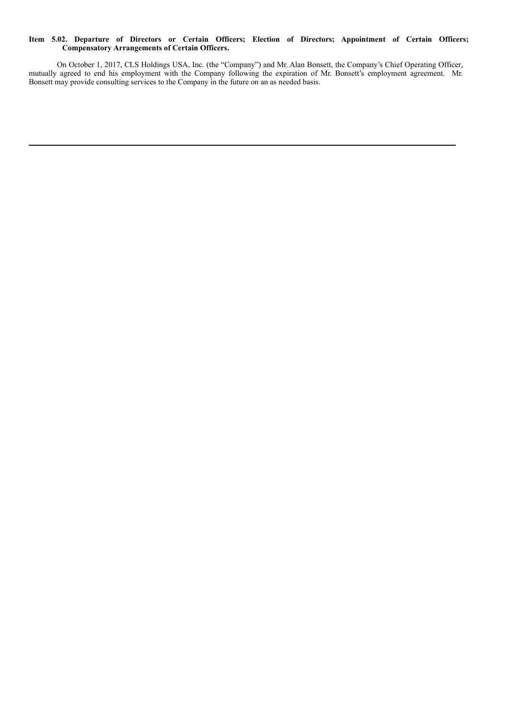#### **Item 5.02. Departure of Directors or Certain Officers; Election of Directors; Appointment of Certain Officers; Compensatory Arrangements of Certain Officers.**

On October 1, 2017, CLS Holdings USA, Inc. (the "Company") and Mr. Alan Bonsett, the Company's Chief Operating Officer, mutually agreed to end his employment with the Company following the expiration of Mr. Bonsett's employment agreement. Mr. Bonsett may provide consulting services to the Company in the future on an as needed basis.